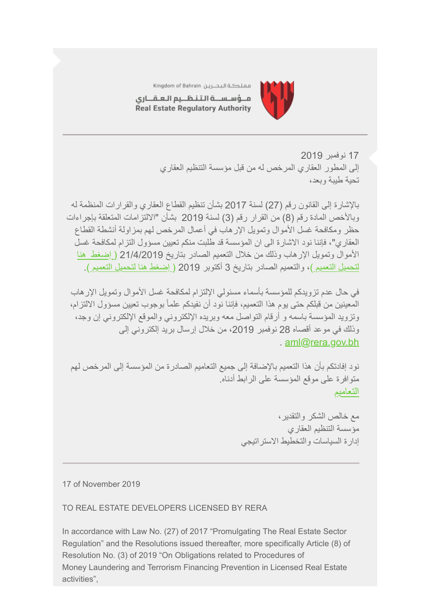

مملكة البحــرين Kingdom of Bahrain

مــؤسـســة الـتـنـظــيم الـعـقـــارى Real Estate Regulatory Authority

> 17 نوفمبر 2019 إلى المطور العقاري المرخص لھ من قبل مؤسسة التنظیم العقاري تحیة طیبة وبعد،

بالإشارة إلى القانون رقم (27) لسنة 2017 بشأن تنظیم القطاع العقاري والقرارات المنظمة لھ وبالأخص المادة رقم (8) من القرار رقم (3) لسنة 2019 بشأن "الالتزامات المتعلقة بإجراءات حظر ومكافحة غسل الأموال وتمویل الإرھاب في أعمال المرخص لھم بمزاولة أنشطة القطاع العقاري"، فإننا نود الاشارة الى ان المؤسسة قد طلبت منكم تعیین مسؤول التزام لمكافحة غسل [الأموال وتمویل الإرھاب وذلك من خلال التعمیم الصادر بتاریخ 21/4/2019 \( إضغط ھنا](https://www.rera.gov.bh/Media/downloads/Circulars/Circular-Sent-On-21st-April-2019-To-All-Licensees-Regarding-appointing-a-Compliance-Officer.pdf) لتحمیل التعمیم )، والتعمیم الصادر بتاریخ 3 أكتوبر 2019 [\( إضغط ھنا لتحمیل التعمیم \).](https://www.rera.gov.bh/Media/downloads/Circulars/Circular-RERA)

في حال عدم تزویدكم للمؤسسة بأسماء مسئولي الإلتزام لمكافحة غسل الأموال وتمویل الإرھاب المعینین من قبلكم حتى یوم ھذا التعمیم، فإننا نود أن نفیدكم علماً بوجوب تعیین مسؤول الالتزام، وتزوید المؤسسة باسمھ و أرقام التواصل معھ وبریده الإلكتروني والموقع الإلكتروني إن وجد، وذلك في موعد أقصاه 28 نوفمبر 2019، من خلال إرسال بريد إلكتروني إلى . [aml@rera.gov.bh](mailto:aml@rera.gov.bh)

نود إفادتكم بأن ھذا التعمیم بالإضافة إلى جمیع التعامیم الصادرة من المؤسسة إلى المرخص لھم متوافرة على موقع المؤسسة على الرابط أدناه. [التعامیم](https://www.rera.gov.bh/category/regulations)

> مع خالص الشكر والتقدیر، مؤسسة التنظیم العقاري إدارة السیاسات والتخطیط الاستراتیجي

17 of November 2019

## TO REAL ESTATE DEVELOPERS LICENSED BY RERA

In accordance with Law No. (27) of 2017 "Promulgating The Real Estate Sector Regulation" and the Resolutions issued thereafter, more specifically Article (8) of Resolution No. (3) of 2019 "On Obligations related to Procedures of Money Laundering and Terrorism Financing Prevention in Licensed Real Estate activities",